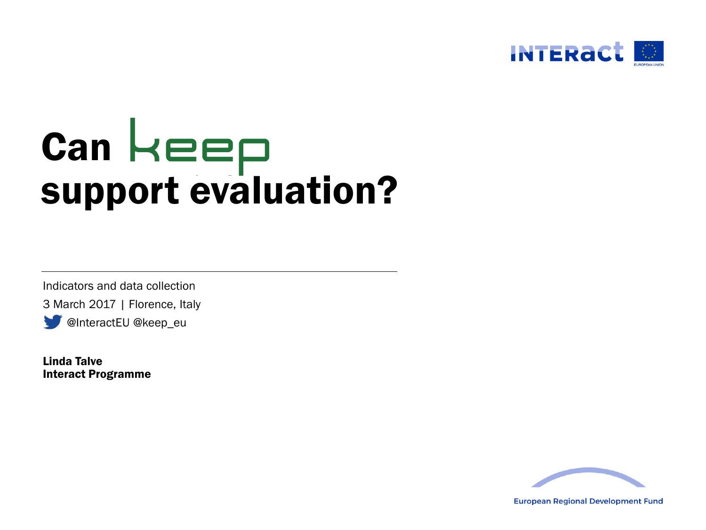

# **Can** support evaluation?

Indicators and data collection

3 March 2017 | Florence, Italy

@InteractEU @keep\_eu

Linda Talve Interact Programme



**European Regional Development Fund**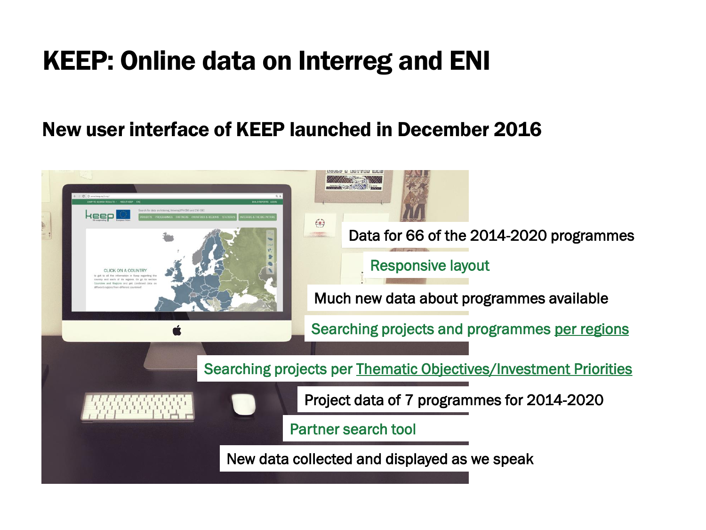### KEEP: Online data on Interreg and ENI

#### New user interface of KEEP launched in December 2016

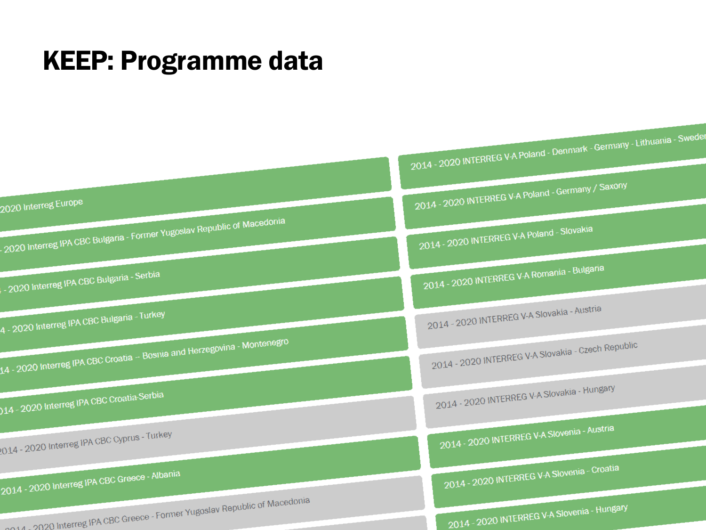#### KEEP: Programme data

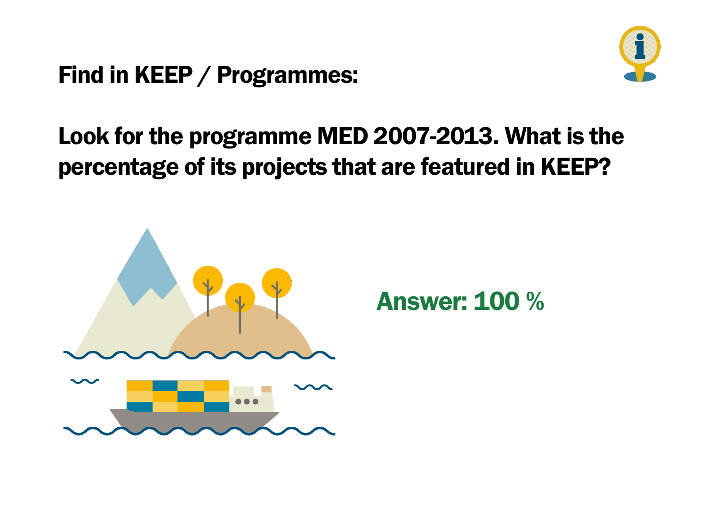#### Find in KEEP / Programmes:



#### Look for the programme MED 2007-2013. What is the percentage of its projects that are featured in KEEP?



Answer: 100 %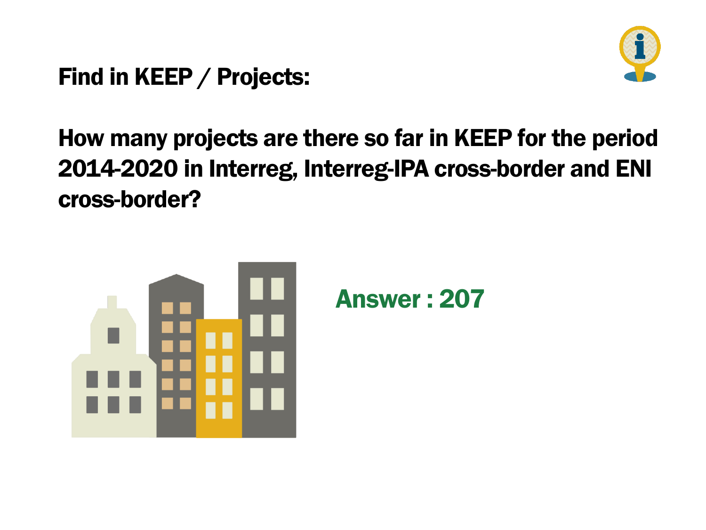Find in KEEP / Projects:



#### How many projects are there so far in KEEP for the period 2014-2020 in Interreg, Interreg-IPA cross-border and ENI cross-border?



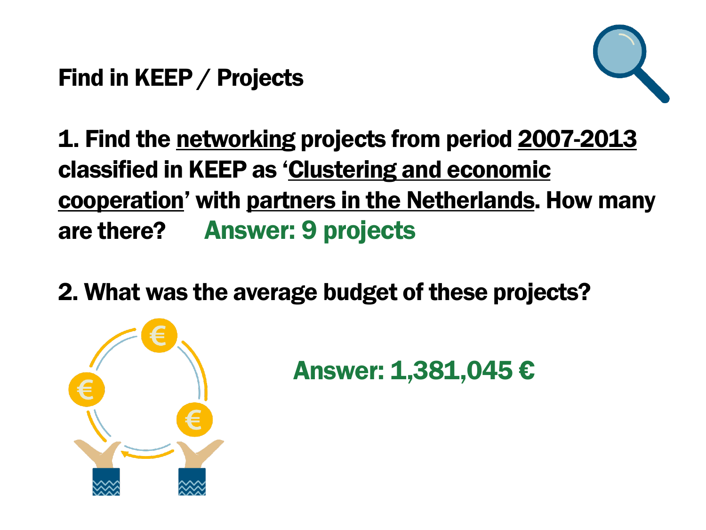Find in KEEP / Projects



1. Find the networking projects from period 2007-2013 classified in KEEP as 'Clustering and economic cooperation' with partners in the Netherlands. How many are there? Answer: 9 projects

2. What was the average budget of these projects?



Answer: 1,381,045 €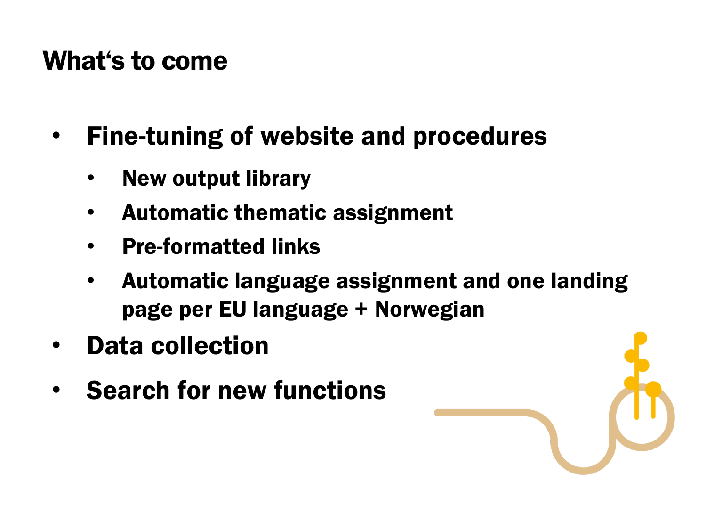#### What's to come

- Fine-tuning of website and procedures
	- New output library
	- Automatic thematic assignment
	- Pre-formatted links
	- Automatic language assignment and one landing page per EU language + Norwegian
- Data collection
- **Search for new functions**

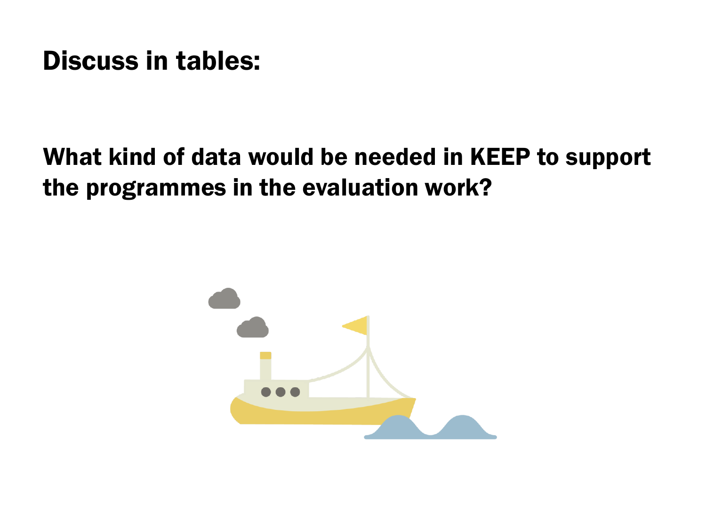#### Discuss in tables:

#### What kind of data would be needed in KEEP to support the programmes in the evaluation work?